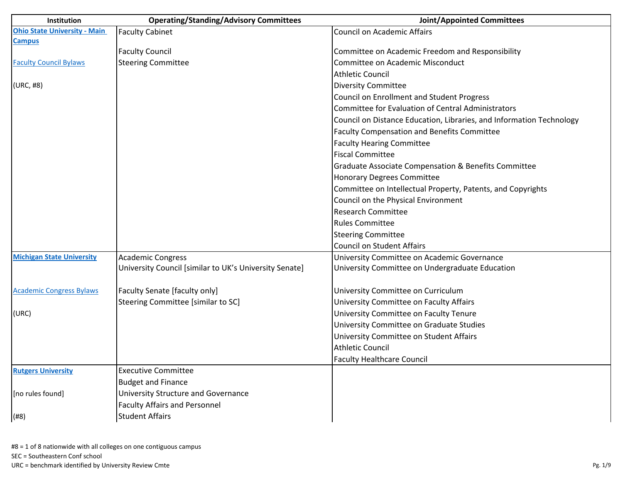| Institution                         | <b>Operating/Standing/Advisory Committees</b>          | <b>Joint/Appointed Committees</b>                                    |
|-------------------------------------|--------------------------------------------------------|----------------------------------------------------------------------|
| <b>Ohio State University - Main</b> | <b>Faculty Cabinet</b>                                 | <b>Council on Academic Affairs</b>                                   |
| <b>Campus</b>                       |                                                        |                                                                      |
|                                     | <b>Faculty Council</b>                                 | Committee on Academic Freedom and Responsibility                     |
| <b>Faculty Council Bylaws</b>       | <b>Steering Committee</b>                              | Committee on Academic Misconduct                                     |
|                                     |                                                        | <b>Athletic Council</b>                                              |
| (URC, #8)                           |                                                        | <b>Diversity Committee</b>                                           |
|                                     |                                                        | Council on Enrollment and Student Progress                           |
|                                     |                                                        | <b>Committee for Evaluation of Central Administrators</b>            |
|                                     |                                                        | Council on Distance Education, Libraries, and Information Technology |
|                                     |                                                        | <b>Faculty Compensation and Benefits Committee</b>                   |
|                                     |                                                        | <b>Faculty Hearing Committee</b>                                     |
|                                     |                                                        | <b>Fiscal Committee</b>                                              |
|                                     |                                                        | Graduate Associate Compensation & Benefits Committee                 |
|                                     |                                                        | <b>Honorary Degrees Committee</b>                                    |
|                                     |                                                        | Committee on Intellectual Property, Patents, and Copyrights          |
|                                     |                                                        | Council on the Physical Environment                                  |
|                                     |                                                        | <b>Research Committee</b>                                            |
|                                     |                                                        | <b>Rules Committee</b>                                               |
|                                     |                                                        | <b>Steering Committee</b>                                            |
|                                     |                                                        | <b>Council on Student Affairs</b>                                    |
| <b>Michigan State University</b>    | <b>Academic Congress</b>                               | University Committee on Academic Governance                          |
|                                     | University Council [similar to UK's University Senate] | University Committee on Undergraduate Education                      |
|                                     |                                                        |                                                                      |
| <b>Academic Congress Bylaws</b>     | <b>Faculty Senate [faculty only]</b>                   | University Committee on Curriculum                                   |
|                                     | Steering Committee [similar to SC]                     | University Committee on Faculty Affairs                              |
| (URC)                               |                                                        | University Committee on Faculty Tenure                               |
|                                     |                                                        | University Committee on Graduate Studies                             |
|                                     |                                                        | University Committee on Student Affairs                              |
|                                     |                                                        | <b>Athletic Council</b>                                              |
|                                     |                                                        | <b>Faculty Healthcare Council</b>                                    |
| <b>Rutgers University</b>           | <b>Executive Committee</b>                             |                                                                      |
|                                     | <b>Budget and Finance</b>                              |                                                                      |
| [no rules found]                    | University Structure and Governance                    |                                                                      |
|                                     | <b>Faculty Affairs and Personnel</b>                   |                                                                      |
| (#8)                                | <b>Student Affairs</b>                                 |                                                                      |

URC = benchmark identified by University Review Cmte Pg. 1/9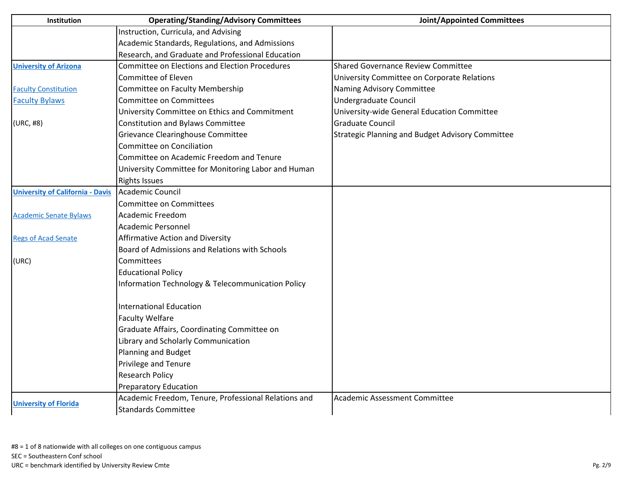| <b>Institution</b>                      | <b>Operating/Standing/Advisory Committees</b>         | <b>Joint/Appointed Committees</b>                |
|-----------------------------------------|-------------------------------------------------------|--------------------------------------------------|
|                                         | Instruction, Curricula, and Advising                  |                                                  |
|                                         | Academic Standards, Regulations, and Admissions       |                                                  |
|                                         | Research, and Graduate and Professional Education     |                                                  |
| <b>University of Arizona</b>            | <b>Committee on Elections and Election Procedures</b> | <b>Shared Governance Review Committee</b>        |
|                                         | Committee of Eleven                                   | University Committee on Corporate Relations      |
| <b>Faculty Constitution</b>             | Committee on Faculty Membership                       | Naming Advisory Committee                        |
| <b>Faculty Bylaws</b>                   | <b>Committee on Committees</b>                        | Undergraduate Council                            |
|                                         | University Committee on Ethics and Commitment         | University-wide General Education Committee      |
| (URC, #8)                               | Constitution and Bylaws Committee                     | <b>Graduate Council</b>                          |
|                                         | Grievance Clearinghouse Committee                     | Strategic Planning and Budget Advisory Committee |
|                                         | Committee on Conciliation                             |                                                  |
|                                         | Committee on Academic Freedom and Tenure              |                                                  |
|                                         | University Committee for Monitoring Labor and Human   |                                                  |
|                                         | <b>Rights Issues</b>                                  |                                                  |
| <b>University of California - Davis</b> | Academic Council                                      |                                                  |
|                                         | Committee on Committees                               |                                                  |
| <b>Academic Senate Bylaws</b>           | <b>Academic Freedom</b>                               |                                                  |
|                                         | <b>Academic Personnel</b>                             |                                                  |
| <b>Regs of Acad Senate</b>              | Affirmative Action and Diversity                      |                                                  |
|                                         | Board of Admissions and Relations with Schools        |                                                  |
| (URC)                                   | Committees                                            |                                                  |
|                                         | <b>Educational Policy</b>                             |                                                  |
|                                         | Information Technology & Telecommunication Policy     |                                                  |
|                                         | <b>International Education</b>                        |                                                  |
|                                         | <b>Faculty Welfare</b>                                |                                                  |
|                                         | Graduate Affairs, Coordinating Committee on           |                                                  |
|                                         | Library and Scholarly Communication                   |                                                  |
|                                         | <b>Planning and Budget</b>                            |                                                  |
|                                         | Privilege and Tenure                                  |                                                  |
|                                         | <b>Research Policy</b>                                |                                                  |
|                                         | <b>Preparatory Education</b>                          |                                                  |
|                                         | Academic Freedom, Tenure, Professional Relations and  | Academic Assessment Committee                    |
| <b>University of Florida</b>            | <b>Standards Committee</b>                            |                                                  |

URC = benchmark identified by University Review Cmte Pg. 2/9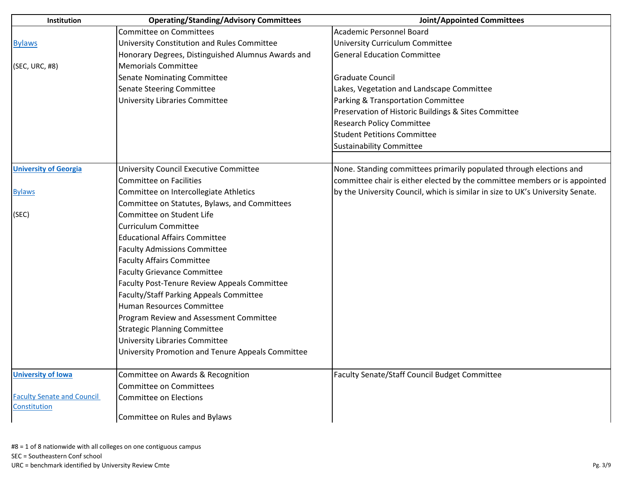| Institution                       | <b>Operating/Standing/Advisory Committees</b>                        | <b>Joint/Appointed Committees</b>                                              |
|-----------------------------------|----------------------------------------------------------------------|--------------------------------------------------------------------------------|
|                                   | <b>Committee on Committees</b>                                       | <b>Academic Personnel Board</b>                                                |
| <b>Bylaws</b>                     | University Constitution and Rules Committee                          | <b>University Curriculum Committee</b>                                         |
|                                   | Honorary Degrees, Distinguished Alumnus Awards and                   | <b>General Education Committee</b>                                             |
| (SEC, URC, #8)                    | <b>Memorials Committee</b>                                           |                                                                                |
|                                   | Senate Nominating Committee                                          | <b>Graduate Council</b>                                                        |
|                                   | Senate Steering Committee                                            | Lakes, Vegetation and Landscape Committee                                      |
|                                   | <b>University Libraries Committee</b>                                | Parking & Transportation Committee                                             |
|                                   |                                                                      | Preservation of Historic Buildings & Sites Committee                           |
|                                   |                                                                      | <b>Research Policy Committee</b>                                               |
|                                   |                                                                      | <b>Student Petitions Committee</b>                                             |
|                                   |                                                                      | <b>Sustainability Committee</b>                                                |
|                                   |                                                                      |                                                                                |
| <b>University of Georgia</b>      | University Council Executive Committee                               | None. Standing committees primarily populated through elections and            |
|                                   | <b>Committee on Facilities</b>                                       | committee chair is either elected by the committee members or is appointed     |
| <b>Bylaws</b>                     | Committee on Intercollegiate Athletics                               | by the University Council, which is similar in size to UK's University Senate. |
|                                   | Committee on Statutes, Bylaws, and Committees                        |                                                                                |
| (SEC)                             | Committee on Student Life                                            |                                                                                |
|                                   | <b>Curriculum Committee</b>                                          |                                                                                |
|                                   | <b>Educational Affairs Committee</b>                                 |                                                                                |
|                                   | <b>Faculty Admissions Committee</b>                                  |                                                                                |
|                                   | <b>Faculty Affairs Committee</b>                                     |                                                                                |
|                                   | <b>Faculty Grievance Committee</b>                                   |                                                                                |
|                                   | Faculty Post-Tenure Review Appeals Committee                         |                                                                                |
|                                   | Faculty/Staff Parking Appeals Committee<br>Human Resources Committee |                                                                                |
|                                   |                                                                      |                                                                                |
|                                   | Program Review and Assessment Committee                              |                                                                                |
|                                   | <b>Strategic Planning Committee</b>                                  |                                                                                |
|                                   | University Libraries Committee                                       |                                                                                |
|                                   | University Promotion and Tenure Appeals Committee                    |                                                                                |
| <b>University of Iowa</b>         | Committee on Awards & Recognition                                    | Faculty Senate/Staff Council Budget Committee                                  |
|                                   | <b>Committee on Committees</b>                                       |                                                                                |
| <b>Faculty Senate and Council</b> | <b>Committee on Elections</b>                                        |                                                                                |
| Constitution                      |                                                                      |                                                                                |
|                                   | Committee on Rules and Bylaws                                        |                                                                                |

URC = benchmark identified by University Review Cmte Pg. 3/9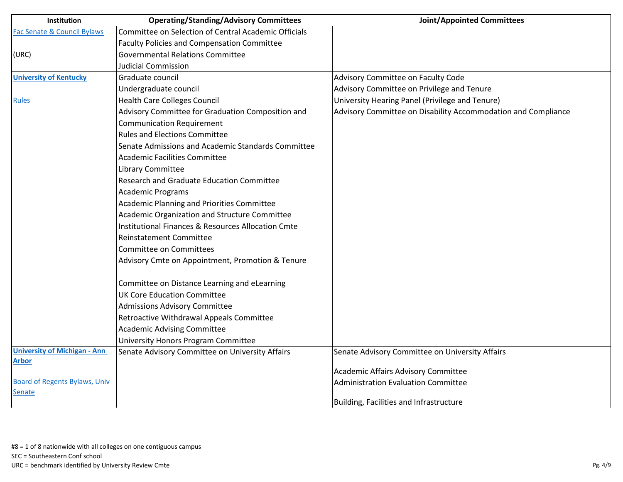| Institution                          | <b>Operating/Standing/Advisory Committees</b>                 | <b>Joint/Appointed Committees</b>                             |
|--------------------------------------|---------------------------------------------------------------|---------------------------------------------------------------|
| Fac Senate & Council Bylaws          | Committee on Selection of Central Academic Officials          |                                                               |
|                                      | <b>Faculty Policies and Compensation Committee</b>            |                                                               |
| (URC)                                | <b>Governmental Relations Committee</b>                       |                                                               |
|                                      | Judicial Commission                                           |                                                               |
| <b>University of Kentucky</b>        | Graduate council                                              | Advisory Committee on Faculty Code                            |
|                                      | Undergraduate council                                         | Advisory Committee on Privilege and Tenure                    |
| <b>Rules</b>                         | <b>Health Care Colleges Council</b>                           | University Hearing Panel (Privilege and Tenure)               |
|                                      | Advisory Committee for Graduation Composition and             | Advisory Committee on Disability Accommodation and Compliance |
|                                      | <b>Communication Requirement</b>                              |                                                               |
|                                      | <b>Rules and Elections Committee</b>                          |                                                               |
|                                      | Senate Admissions and Academic Standards Committee            |                                                               |
|                                      | <b>Academic Facilities Committee</b>                          |                                                               |
|                                      | Library Committee                                             |                                                               |
|                                      | Research and Graduate Education Committee                     |                                                               |
|                                      | <b>Academic Programs</b>                                      |                                                               |
|                                      | Academic Planning and Priorities Committee                    |                                                               |
|                                      | Academic Organization and Structure Committee                 |                                                               |
|                                      | <b>Institutional Finances &amp; Resources Allocation Cmte</b> |                                                               |
|                                      | <b>Reinstatement Committee</b>                                |                                                               |
|                                      | Committee on Committees                                       |                                                               |
|                                      | Advisory Cmte on Appointment, Promotion & Tenure              |                                                               |
|                                      | Committee on Distance Learning and eLearning                  |                                                               |
|                                      | <b>UK Core Education Committee</b>                            |                                                               |
|                                      | <b>Admissions Advisory Committee</b>                          |                                                               |
|                                      | Retroactive Withdrawal Appeals Committee                      |                                                               |
|                                      | <b>Academic Advising Committee</b>                            |                                                               |
|                                      | University Honors Program Committee                           |                                                               |
| <b>University of Michigan - Ann</b>  | Senate Advisory Committee on University Affairs               | Senate Advisory Committee on University Affairs               |
| <b>Arbor</b>                         |                                                               |                                                               |
| <b>Board of Regents Bylaws, Univ</b> |                                                               | Academic Affairs Advisory Committee                           |
| Senate                               |                                                               | <b>Administration Evaluation Committee</b>                    |
|                                      |                                                               | Building, Facilities and Infrastructure                       |

URC = benchmark identified by University Review Cmte Pg. 4/9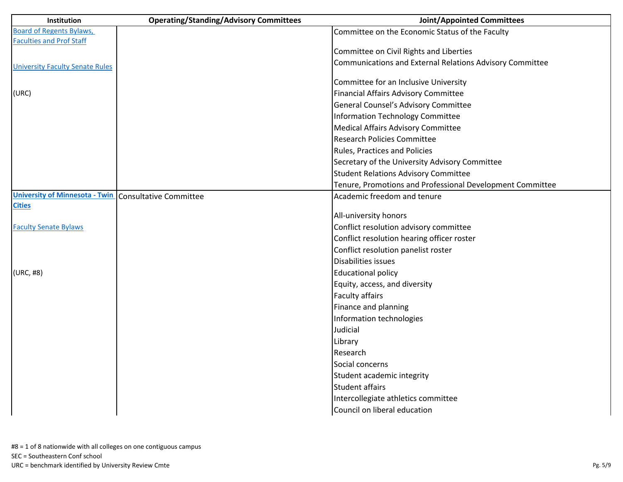| Institution                                           | <b>Operating/Standing/Advisory Committees</b> | <b>Joint/Appointed Committees</b>                         |
|-------------------------------------------------------|-----------------------------------------------|-----------------------------------------------------------|
| <b>Board of Regents Bylaws,</b>                       |                                               | Committee on the Economic Status of the Faculty           |
| <b>Faculties and Prof Staff</b>                       |                                               |                                                           |
|                                                       |                                               | Committee on Civil Rights and Liberties                   |
| <b>University Faculty Senate Rules</b>                |                                               | Communications and External Relations Advisory Committee  |
|                                                       |                                               | Committee for an Inclusive University                     |
| (URC)                                                 |                                               | <b>Financial Affairs Advisory Committee</b>               |
|                                                       |                                               | General Counsel's Advisory Committee                      |
|                                                       |                                               | <b>Information Technology Committee</b>                   |
|                                                       |                                               | <b>Medical Affairs Advisory Committee</b>                 |
|                                                       |                                               | <b>Research Policies Committee</b>                        |
|                                                       |                                               | Rules, Practices and Policies                             |
|                                                       |                                               | Secretary of the University Advisory Committee            |
|                                                       |                                               | <b>Student Relations Advisory Committee</b>               |
|                                                       |                                               | Tenure, Promotions and Professional Development Committee |
| University of Minnesota - Twin Consultative Committee |                                               | Academic freedom and tenure                               |
| <b>Cities</b>                                         |                                               |                                                           |
|                                                       |                                               | All-university honors                                     |
| <b>Faculty Senate Bylaws</b>                          |                                               | Conflict resolution advisory committee                    |
|                                                       |                                               | Conflict resolution hearing officer roster                |
|                                                       |                                               | Conflict resolution panelist roster                       |
|                                                       |                                               | Disabilities issues                                       |
| (URC, #8)                                             |                                               | <b>Educational policy</b>                                 |
|                                                       |                                               | Equity, access, and diversity                             |
|                                                       |                                               | <b>Faculty affairs</b>                                    |
|                                                       |                                               | Finance and planning                                      |
|                                                       |                                               | Information technologies                                  |
|                                                       |                                               | Judicial                                                  |
|                                                       |                                               | Library                                                   |
|                                                       |                                               | Research                                                  |
|                                                       |                                               | Social concerns                                           |
|                                                       |                                               | Student academic integrity                                |
|                                                       |                                               | <b>Student affairs</b>                                    |
|                                                       |                                               | Intercollegiate athletics committee                       |
|                                                       |                                               | Council on liberal education                              |

URC = benchmark identified by University Review Cmte Pg. 5/9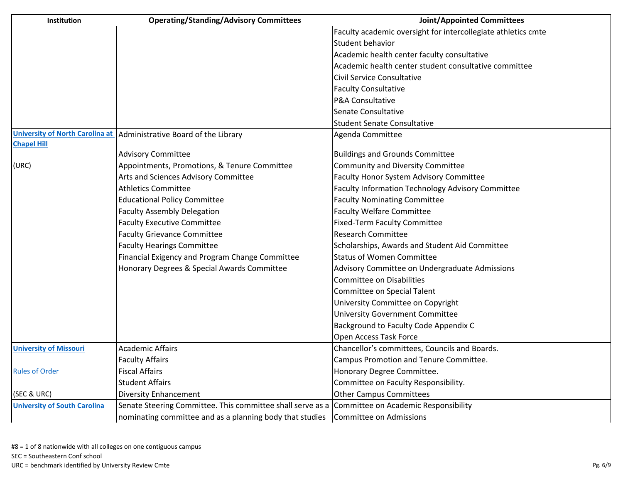| Institution                         | <b>Operating/Standing/Advisory Committees</b>                                                   | <b>Joint/Appointed Committees</b>                             |
|-------------------------------------|-------------------------------------------------------------------------------------------------|---------------------------------------------------------------|
|                                     |                                                                                                 | Faculty academic oversight for intercollegiate athletics cmte |
|                                     |                                                                                                 | Student behavior                                              |
|                                     |                                                                                                 | Academic health center faculty consultative                   |
|                                     |                                                                                                 | Academic health center student consultative committee         |
|                                     |                                                                                                 | Civil Service Consultative                                    |
|                                     |                                                                                                 | <b>Faculty Consultative</b>                                   |
|                                     |                                                                                                 | <b>P&amp;A Consultative</b>                                   |
|                                     |                                                                                                 | Senate Consultative                                           |
|                                     |                                                                                                 | <b>Student Senate Consultative</b>                            |
|                                     | University of North Carolina at   Administrative Board of the Library                           | Agenda Committee                                              |
| <b>Chapel Hill</b>                  |                                                                                                 |                                                               |
|                                     | <b>Advisory Committee</b>                                                                       | <b>Buildings and Grounds Committee</b>                        |
| (URC)                               | Appointments, Promotions, & Tenure Committee                                                    | <b>Community and Diversity Committee</b>                      |
|                                     | Arts and Sciences Advisory Committee                                                            | Faculty Honor System Advisory Committee                       |
|                                     | <b>Athletics Committee</b>                                                                      | Faculty Information Technology Advisory Committee             |
|                                     | <b>Educational Policy Committee</b>                                                             | <b>Faculty Nominating Committee</b>                           |
|                                     | <b>Faculty Assembly Delegation</b>                                                              | <b>Faculty Welfare Committee</b>                              |
|                                     | <b>Faculty Executive Committee</b>                                                              | <b>Fixed-Term Faculty Committee</b>                           |
|                                     | <b>Faculty Grievance Committee</b>                                                              | <b>Research Committee</b>                                     |
|                                     | <b>Faculty Hearings Committee</b>                                                               | Scholarships, Awards and Student Aid Committee                |
|                                     | Financial Exigency and Program Change Committee                                                 | <b>Status of Women Committee</b>                              |
|                                     | Honorary Degrees & Special Awards Committee                                                     | Advisory Committee on Undergraduate Admissions                |
|                                     |                                                                                                 | Committee on Disabilities                                     |
|                                     |                                                                                                 | Committee on Special Talent                                   |
|                                     |                                                                                                 | University Committee on Copyright                             |
|                                     |                                                                                                 | <b>University Government Committee</b>                        |
|                                     |                                                                                                 | Background to Faculty Code Appendix C                         |
|                                     |                                                                                                 | Open Access Task Force                                        |
| <b>University of Missouri</b>       | <b>Academic Affairs</b>                                                                         | Chancellor's committees, Councils and Boards.                 |
|                                     | <b>Faculty Affairs</b>                                                                          | Campus Promotion and Tenure Committee.                        |
| <b>Rules of Order</b>               | <b>Fiscal Affairs</b>                                                                           | Honorary Degree Committee.                                    |
|                                     | <b>Student Affairs</b>                                                                          | Committee on Faculty Responsibility.                          |
| (SEC & URC)                         | Diversity Enhancement                                                                           | <b>Other Campus Committees</b>                                |
| <b>University of South Carolina</b> | Senate Steering Committee. This committee shall serve as a Committee on Academic Responsibility |                                                               |
|                                     | nominating committee and as a planning body that studies                                        | Committee on Admissions                                       |

URC = benchmark identified by University Review Cmte Pg. 6/9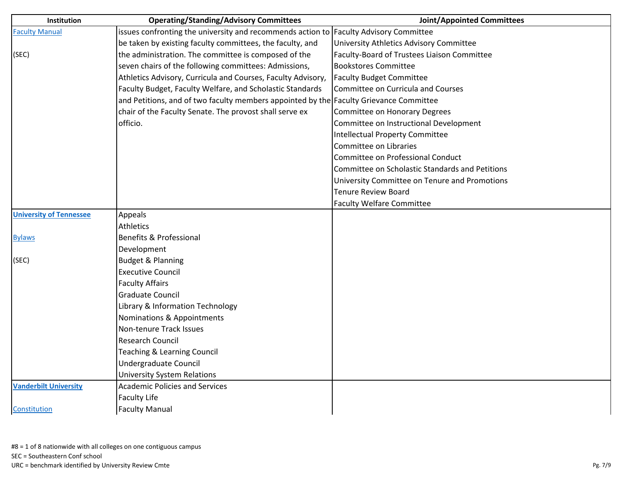| Institution                    | <b>Operating/Standing/Advisory Committees</b>                                          | <b>Joint/Appointed Committees</b>               |
|--------------------------------|----------------------------------------------------------------------------------------|-------------------------------------------------|
| <b>Faculty Manual</b>          | issues confronting the university and recommends action to Faculty Advisory Committee  |                                                 |
|                                | be taken by existing faculty committees, the faculty, and                              | University Athletics Advisory Committee         |
| (SEC)                          | the administration. The committee is composed of the                                   | Faculty-Board of Trustees Liaison Committee     |
|                                | seven chairs of the following committees: Admissions,                                  | <b>Bookstores Committee</b>                     |
|                                | Athletics Advisory, Curricula and Courses, Faculty Advisory,                           | <b>Faculty Budget Committee</b>                 |
|                                | Faculty Budget, Faculty Welfare, and Scholastic Standards                              | Committee on Curricula and Courses              |
|                                | and Petitions, and of two faculty members appointed by the Faculty Grievance Committee |                                                 |
|                                | chair of the Faculty Senate. The provost shall serve ex                                | Committee on Honorary Degrees                   |
|                                | officio.                                                                               | Committee on Instructional Development          |
|                                |                                                                                        | Intellectual Property Committee                 |
|                                |                                                                                        | Committee on Libraries                          |
|                                |                                                                                        | Committee on Professional Conduct               |
|                                |                                                                                        | Committee on Scholastic Standards and Petitions |
|                                |                                                                                        | University Committee on Tenure and Promotions   |
|                                |                                                                                        | <b>Tenure Review Board</b>                      |
|                                |                                                                                        | <b>Faculty Welfare Committee</b>                |
| <b>University of Tennessee</b> | Appeals                                                                                |                                                 |
|                                | <b>Athletics</b>                                                                       |                                                 |
| <b>Bylaws</b>                  | Benefits & Professional                                                                |                                                 |
|                                | Development                                                                            |                                                 |
| (SEC)                          | <b>Budget &amp; Planning</b>                                                           |                                                 |
|                                | <b>Executive Council</b>                                                               |                                                 |
|                                | <b>Faculty Affairs</b>                                                                 |                                                 |
|                                | <b>Graduate Council</b>                                                                |                                                 |
|                                | Library & Information Technology                                                       |                                                 |
|                                | Nominations & Appointments                                                             |                                                 |
|                                | Non-tenure Track Issues                                                                |                                                 |
|                                | <b>Research Council</b>                                                                |                                                 |
|                                | Teaching & Learning Council                                                            |                                                 |
|                                | Undergraduate Council                                                                  |                                                 |
|                                | <b>University System Relations</b>                                                     |                                                 |
| <b>Vanderbilt University</b>   | <b>Academic Policies and Services</b>                                                  |                                                 |
|                                | <b>Faculty Life</b>                                                                    |                                                 |
| Constitution                   | <b>Faculty Manual</b>                                                                  |                                                 |

URC = benchmark identified by University Review Cmte Pg. 7/9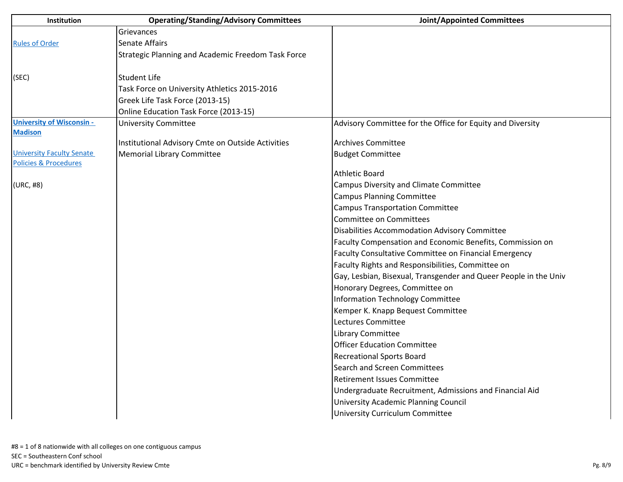| Institution                                                          | <b>Operating/Standing/Advisory Committees</b>      | <b>Joint/Appointed Committees</b>                                |
|----------------------------------------------------------------------|----------------------------------------------------|------------------------------------------------------------------|
|                                                                      | Grievances                                         |                                                                  |
| <b>Rules of Order</b>                                                | <b>Senate Affairs</b>                              |                                                                  |
|                                                                      | Strategic Planning and Academic Freedom Task Force |                                                                  |
|                                                                      |                                                    |                                                                  |
| (SEC)                                                                | <b>Student Life</b>                                |                                                                  |
|                                                                      | Task Force on University Athletics 2015-2016       |                                                                  |
|                                                                      | Greek Life Task Force (2013-15)                    |                                                                  |
|                                                                      | Online Education Task Force (2013-15)              |                                                                  |
| <b>University of Wisconsin -</b>                                     | <b>University Committee</b>                        | Advisory Committee for the Office for Equity and Diversity       |
| <b>Madison</b>                                                       |                                                    |                                                                  |
|                                                                      | Institutional Advisory Cmte on Outside Activities  | <b>Archives Committee</b>                                        |
| <b>University Faculty Senate</b><br><b>Policies &amp; Procedures</b> | Memorial Library Committee                         | <b>Budget Committee</b>                                          |
|                                                                      |                                                    | <b>Athletic Board</b>                                            |
| (URC, #8)                                                            |                                                    | <b>Campus Diversity and Climate Committee</b>                    |
|                                                                      |                                                    | <b>Campus Planning Committee</b>                                 |
|                                                                      |                                                    | <b>Campus Transportation Committee</b>                           |
|                                                                      |                                                    | Committee on Committees                                          |
|                                                                      |                                                    | Disabilities Accommodation Advisory Committee                    |
|                                                                      |                                                    | Faculty Compensation and Economic Benefits, Commission on        |
|                                                                      |                                                    | Faculty Consultative Committee on Financial Emergency            |
|                                                                      |                                                    | Faculty Rights and Responsibilities, Committee on                |
|                                                                      |                                                    | Gay, Lesbian, Bisexual, Transgender and Queer People in the Univ |
|                                                                      |                                                    | Honorary Degrees, Committee on                                   |
|                                                                      |                                                    | Information Technology Committee                                 |
|                                                                      |                                                    | Kemper K. Knapp Bequest Committee                                |
|                                                                      |                                                    | Lectures Committee                                               |
|                                                                      |                                                    | <b>Library Committee</b>                                         |
|                                                                      |                                                    | <b>Officer Education Committee</b>                               |
|                                                                      |                                                    | <b>Recreational Sports Board</b>                                 |
|                                                                      |                                                    | <b>Search and Screen Committees</b>                              |
|                                                                      |                                                    | <b>Retirement Issues Committee</b>                               |
|                                                                      |                                                    | Undergraduate Recruitment, Admissions and Financial Aid          |
|                                                                      |                                                    | University Academic Planning Council                             |
|                                                                      |                                                    | University Curriculum Committee                                  |

URC = benchmark identified by University Review Cmte Pg. 8/9